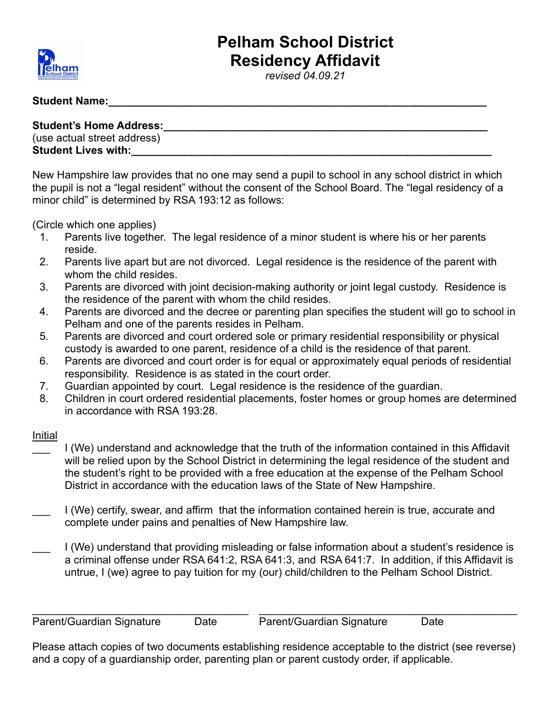

## **Pelham School District Residency Affidavit**

*revised 04.09.21*

## **Student Name:\_\_\_\_\_\_\_\_\_\_\_\_\_\_\_\_\_\_\_\_\_\_\_\_\_\_\_\_\_\_\_\_\_\_\_\_\_\_\_\_\_\_\_\_\_\_\_\_\_\_\_\_\_\_\_\_\_\_\_\_\_\_\_**

**Student's Home Address:\_\_\_\_\_\_\_\_\_\_\_\_\_\_\_\_\_\_\_\_\_\_\_\_\_\_\_\_\_\_\_\_\_\_\_\_\_\_\_\_\_\_\_\_\_\_\_\_\_\_\_\_\_\_** (use actual street address) **Student Lives with:** 

New Hampshire law provides that no one may send a pupil to school in any school district in which the pupil is not a "legal resident" without the consent of the School Board. The "legal residency of a minor child" is determined by RSA 193:12 as follows:

(Circle which one applies)

- 1. Parents live together. The legal residence of a minor student is where his or her parents reside.
- 2. Parents live apart but are not divorced. Legal residence is the residence of the parent with whom the child resides.
- 3. Parents are divorced with joint decision-making authority or joint legal custody. Residence is the residence of the parent with whom the child resides.
- 4. Parents are divorced and the decree or parenting plan specifies the student will go to school in Pelham and one of the parents resides in Pelham.
- 5. Parents are divorced and court ordered sole or primary residential responsibility or physical custody is awarded to one parent, residence of a child is the residence of that parent.
- 6. Parents are divorced and court order is for equal or approximately equal periods of residential responsibility. Residence is as stated in the court order.
- 7. Guardian appointed by court. Legal residence is the residence of the guardian.
- 8. Children in court ordered residential placements, foster homes or group homes are determined in accordance with RSA 193:28.

## Initial

- \_\_\_ I (We) understand and acknowledge that the truth of the information contained in this Affidavit will be relied upon by the School District in determining the legal residence of the student and the student's right to be provided with a free education at the expense of the Pelham School District in accordance with the education laws of the State of New Hampshire.
- I (We) certify, swear, and affirm that the information contained herein is true, accurate and complete under pains and penalties of New Hampshire law.
- \_\_\_ I (We) understand that providing misleading or false information about a student's residence is a criminal offense under RSA 641:2, RSA 641:3, and RSA 641:7. In addition, if this Affidavit is untrue, I (we) agree to pay tuition for my (our) child/children to the Pelham School District.

Parent/Guardian Signature Date Parent/Guardian Signature Date

Please attach copies of two documents establishing residence acceptable to the district (see reverse) and a copy of a guardianship order, parenting plan or parent custody order, if applicable.

\_\_\_\_\_\_\_\_\_\_\_\_\_\_\_\_\_\_\_\_\_\_\_\_\_\_\_\_\_\_\_\_\_\_\_\_ \_\_\_\_\_\_\_\_\_\_\_\_\_\_\_\_\_\_\_\_\_\_\_\_\_\_\_\_\_\_\_\_\_\_\_\_\_\_\_\_\_\_\_